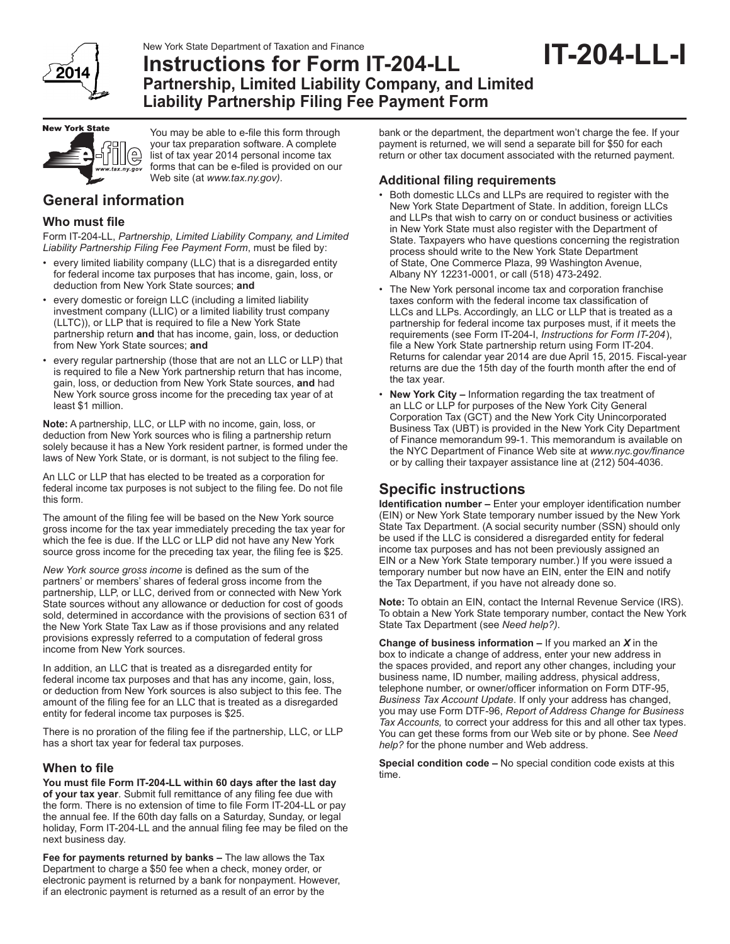

### New York State Department of Taxation and Finance **Instructions for Form IT-204-LL Partnership, Limited Liability Company, and Limited Liability Partnership Filing Fee Payment Form IT-204-LL-I**



You may be able to e-file this form through your tax preparation software. A complete list of tax year 2014 personal income tax forms that can be e-filed is provided on our Web site (at *www.tax.ny.gov)*.

# **General information**

### **Who must file**

Form IT-204-LL, *Partnership, Limited Liability Company, and Limited Liability Partnership Filing Fee Payment Form*, must be filed by:

- every limited liability company (LLC) that is a disregarded entity for federal income tax purposes that has income, gain, loss, or deduction from New York State sources; **and**
- every domestic or foreign LLC (including a limited liability investment company (LLIC) or a limited liability trust company (LLTC)), or LLP that is required to file a New York State partnership return **and** that has income, gain, loss, or deduction from New York State sources; **and**
- every regular partnership (those that are not an LLC or LLP) that is required to file a New York partnership return that has income, gain, loss, or deduction from New York State sources, **and** had New York source gross income for the preceding tax year of at least \$1 million.

**Note:** A partnership, LLC, or LLP with no income, gain, loss, or deduction from New York sources who is filing a partnership return solely because it has a New York resident partner, is formed under the laws of New York State, or is dormant, is not subject to the filing fee.

An LLC or LLP that has elected to be treated as a corporation for federal income tax purposes is not subject to the filing fee. Do not file this form.

The amount of the filing fee will be based on the New York source gross income for the tax year immediately preceding the tax year for which the fee is due. If the LLC or LLP did not have any New York source gross income for the preceding tax year, the filing fee is \$25.

*New York source gross income* is defined as the sum of the partners' or members' shares of federal gross income from the partnership, LLP, or LLC, derived from or connected with New York State sources without any allowance or deduction for cost of goods sold, determined in accordance with the provisions of section 631 of the New York State Tax Law as if those provisions and any related provisions expressly referred to a computation of federal gross income from New York sources.

In addition, an LLC that is treated as a disregarded entity for federal income tax purposes and that has any income, gain, loss, or deduction from New York sources is also subject to this fee. The amount of the filing fee for an LLC that is treated as a disregarded entity for federal income tax purposes is \$25.

There is no proration of the filing fee if the partnership, LLC, or LLP has a short tax year for federal tax purposes.

### **When to file**

**You must file Form IT-204-LL within 60 days after the last day of your tax year**. Submit full remittance of any filing fee due with the form. There is no extension of time to file Form IT-204-LL or pay the annual fee. If the 60th day falls on a Saturday, Sunday, or legal holiday, Form IT-204-LL and the annual filing fee may be filed on the next business day.

**Fee for payments returned by banks –** The law allows the Tax Department to charge a \$50 fee when a check, money order, or electronic payment is returned by a bank for nonpayment. However, if an electronic payment is returned as a result of an error by the

bank or the department, the department won't charge the fee. If your payment is returned, we will send a separate bill for \$50 for each return or other tax document associated with the returned payment.

## **Additional filing requirements**

- Both domestic LLCs and LLPs are required to register with the New York State Department of State. In addition, foreign LLCs and LLPs that wish to carry on or conduct business or activities in New York State must also register with the Department of State. Taxpayers who have questions concerning the registration process should write to the New York State Department of State, One Commerce Plaza, 99 Washington Avenue, Albany NY 12231-0001, or call (518) 473-2492.
- The New York personal income tax and corporation franchise taxes conform with the federal income tax classification of LLCs and LLPs. Accordingly, an LLC or LLP that is treated as a partnership for federal income tax purposes must, if it meets the requirements (see Form IT-204-I, *Instructions for Form IT-204*), file a New York State partnership return using Form IT-204. Returns for calendar year 2014 are due April 15, 2015. Fiscal-year returns are due the 15th day of the fourth month after the end of the tax year.
- **New York City –** Information regarding the tax treatment of an LLC or LLP for purposes of the New York City General Corporation Tax (GCT) and the New York City Unincorporated Business Tax (UBT) is provided in the New York City Department of Finance memorandum 99-1. This memorandum is available on the NYC Department of Finance Web site at *www.nyc.gov/finance* or by calling their taxpayer assistance line at (212) 504-4036.

# **Specific instructions**

**Identification number –** Enter your employer identification number (EIN) or New York State temporary number issued by the New York State Tax Department. (A social security number (SSN) should only be used if the LLC is considered a disregarded entity for federal income tax purposes and has not been previously assigned an EIN or a New York State temporary number.) If you were issued a temporary number but now have an EIN, enter the EIN and notify the Tax Department, if you have not already done so.

**Note:** To obtain an EIN, contact the Internal Revenue Service (IRS). To obtain a New York State temporary number, contact the New York State Tax Department (see *Need help?)*.

**Change of business information –** If you marked an *X* in the box to indicate a change of address, enter your new address in the spaces provided, and report any other changes, including your business name, ID number, mailing address, physical address, telephone number, or owner/officer information on Form DTF-95, *Business Tax Account Update*. If only your address has changed, you may use Form DTF-96, *Report of Address Change for Business Tax Accounts,* to correct your address for this and all other tax types. You can get these forms from our Web site or by phone. See *Need help?* for the phone number and Web address.

**Special condition code –** No special condition code exists at this time.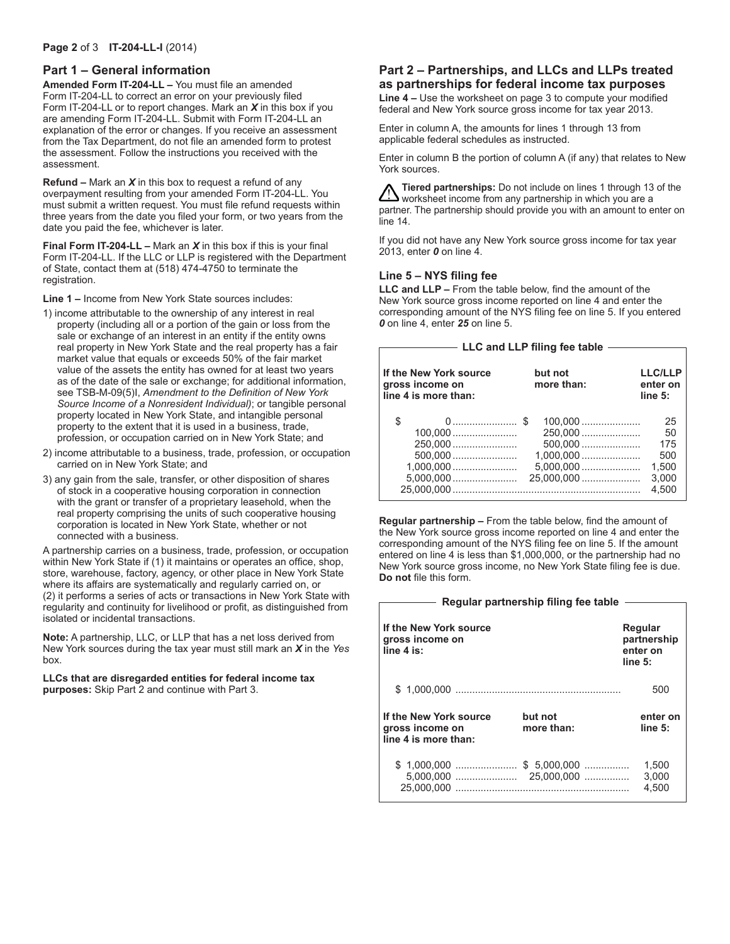#### **Page 2** of 3 **IT-204-LL-I** (2014)

#### **Part 1 – General information**

**Amended Form IT-204-LL –** You must file an amended Form IT-204-LL to correct an error on your previously filed Form IT-204-LL or to report changes. Mark an *X* in this box if you are amending Form IT-204-LL. Submit with Form IT-204-LL an explanation of the error or changes. If you receive an assessment from the Tax Department, do not file an amended form to protest the assessment. Follow the instructions you received with the assessment.

**Refund –** Mark an *X* in this box to request a refund of any overpayment resulting from your amended Form IT-204-LL. You must submit a written request. You must file refund requests within three years from the date you filed your form, or two years from the date you paid the fee, whichever is later.

**Final Form IT-204-LL –** Mark an *X* in this box if this is your final Form IT-204-LL. If the LLC or LLP is registered with the Department of State, contact them at (518) 474-4750 to terminate the registration.

**Line 1 –** Income from New York State sources includes:

- 1) income attributable to the ownership of any interest in real property (including all or a portion of the gain or loss from the sale or exchange of an interest in an entity if the entity owns real property in New York State and the real property has a fair market value that equals or exceeds 50% of the fair market value of the assets the entity has owned for at least two years as of the date of the sale or exchange; for additional information, see TSB-M-09(5)I, *Amendment to the Definition of New York Source Income of a Nonresident Individual)*; or tangible personal property located in New York State, and intangible personal property to the extent that it is used in a business, trade, profession, or occupation carried on in New York State; and
- 2) income attributable to a business, trade, profession, or occupation carried on in New York State; and
- 3) any gain from the sale, transfer, or other disposition of shares of stock in a cooperative housing corporation in connection with the grant or transfer of a proprietary leasehold, when the real property comprising the units of such cooperative housing corporation is located in New York State, whether or not connected with a business.

A partnership carries on a business, trade, profession, or occupation within New York State if (1) it maintains or operates an office, shop, store, warehouse, factory, agency, or other place in New York State where its affairs are systematically and regularly carried on, or (2) it performs a series of acts or transactions in New York State with regularity and continuity for livelihood or profit, as distinguished from isolated or incidental transactions.

**Note:** A partnership, LLC, or LLP that has a net loss derived from New York sources during the tax year must still mark an *X* in the *Yes* box.

**LLCs that are disregarded entities for federal income tax purposes:** Skip Part 2 and continue with Part 3.

## **Part 2 – Partnerships, and LLCs and LLPs treated as partnerships for federal income tax purposes**

**Line 4 –** Use the worksheet on page 3 to compute your modified federal and New York source gross income for tax year 2013.

Enter in column A, the amounts for lines 1 through 13 from applicable federal schedules as instructed.

Enter in column B the portion of column A (if any) that relates to New York sources.

**Tiered partnerships:** Do not include on lines 1 through 13 of the  $\boldsymbol{\Delta}$  worksheet income from any partnership in which you are a partner. The partnership should provide you with an amount to enter on line 14.

If you did not have any New York source gross income for tax year 2013, enter *0* on line 4.

### **Line 5 – NYS filing fee**

**LLC and LLP –** From the table below, find the amount of the New York source gross income reported on line 4 and enter the corresponding amount of the NYS filing fee on line 5. If you entered *0* on line 4, enter *25* on line 5.

| LLC and LLP filing fee table                                      |                       |                                       |  |  |
|-------------------------------------------------------------------|-----------------------|---------------------------------------|--|--|
|                                                                   |                       |                                       |  |  |
| If the New York source<br>gross income on<br>line 4 is more than: | but not<br>more than: | <b>LLC/LLP</b><br>enter on<br>line 5: |  |  |
| \$<br>0 \$                                                        | 100.000               | 25                                    |  |  |
|                                                                   | 250,000               | 50                                    |  |  |
| 250,000                                                           | $500,000$             | 175                                   |  |  |
| $500,000$                                                         |                       | 500                                   |  |  |
|                                                                   |                       | 1,500                                 |  |  |
|                                                                   | 25,000,000            | 3.000                                 |  |  |
|                                                                   |                       | 4.500                                 |  |  |

**Regular partnership –** From the table below, find the amount of the New York source gross income reported on line 4 and enter the corresponding amount of the NYS filing fee on line 5. If the amount entered on line 4 is less than \$1,000,000, or the partnership had no New York source gross income, no New York State filing fee is due. **Do not** file this form.

|                                                                   | Regular partnership filing fee table |                                               |
|-------------------------------------------------------------------|--------------------------------------|-----------------------------------------------|
| If the New York source<br>gross income on<br>$line 4$ is:         |                                      | Regular<br>partnership<br>enter on<br>line 5: |
|                                                                   |                                      | 500                                           |
| If the New York source<br>gross income on<br>line 4 is more than: | but not<br>more than:                | enter on<br>line 5:                           |
| 25.000.000                                                        |                                      | 1.500<br>3,000<br>4.500                       |